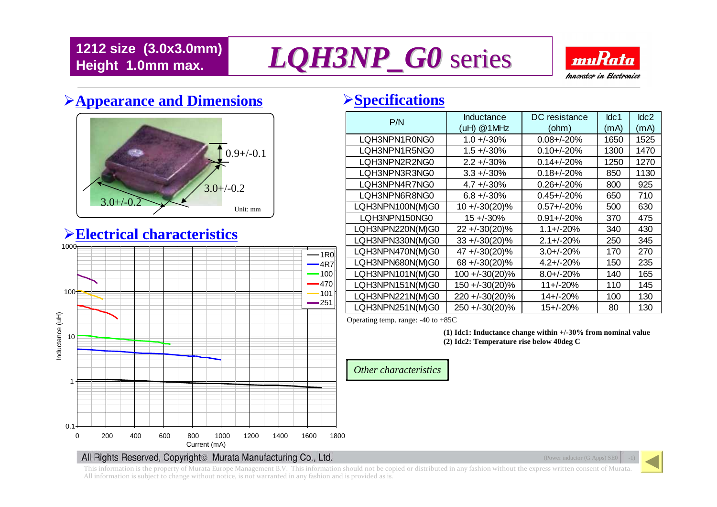



## **Appearance and Dimensions**



## **Electrical characteristics**



### **Specifications**

| P/N                                | Inductance         | DC resistance           | Idc <sub>1</sub> | $\text{Idc2}$ |
|------------------------------------|--------------------|-------------------------|------------------|---------------|
|                                    | @1MHz<br>(uH)      | (ohm)                   | (mA)             | (mA)          |
| LQH3NPN1R0NG0                      | $1.0 + -30%$       | $0.08 + / -20%$         | 1650             | 1525          |
| LQH3NPN1R5NG0                      | $1.5 + -30%$       | $0.10 + (-20%)$<br>1300 |                  | 1470          |
| LQH3NPN2R2NG0                      | $2.2 + -30%$       | $0.14 + (-20%)$<br>1250 |                  | 1270          |
| LQH3NPN3R3NG0                      | $3.3 + -30%$       | $0.18 + (-20%)$         | 850              | 1130          |
| LQH3NPN4R7NG0                      | $4.7 + -30%$       | $0.26 + / -20%$         | 800              | 925           |
| LQH3NPN6R8NG0                      | $6.8 + -30%$       | $0.45 + (-20%)$         | 650              | 710           |
| LQH3NPN100N(M)G0                   | $10 + (-30(20)\%$  | $0.57 + (-20%)$         | 500              | 630           |
| LQH3NPN150NG0                      | $15 + -30%$        | $0.91 + (-20%)$         | 370              | 475           |
| LQH3NPN220N(M)G0                   | $22 + (-30(20)\%$  | $1.1 + (-20%)$          | 340              | 430           |
| LQH3NPN330N(M)G0                   | $33 + (-30(20)\%$  | $2.1 + (-20%)$          | 250              | 345           |
| LQH3NPN470N(M)G0                   | $47 + (-30(20)\%$  | $3.0 + (-20%)$          | 170              | 270           |
| LQH3NPN680N(M)G0                   | $68 + (-30(20)\%$  | $4.2 + (-20%)$          | 150              | 235           |
| LQH3NPN101N(M)G0                   | $100 + (-30(20)\%$ | $8.0 + (-20%)$          | 140              | 165           |
| LQH3NPN151N(M)G0                   | 150 +/-30(20)%     | $11 + (-20%)$           | 110              | 145           |
| LQH3NPN221N(M)G0<br>220 +/-30(20)% |                    | 14+/-20%                | 100              | 130           |
| LQH3NPN251N(M)G0<br>250 +/-30(20)% |                    | 15+/-20%                | 80               | 130           |

Operating temp. range: -40 to +85C

**(1) Idc1: Inductance change within +/-30% from nominal value (2) Idc2: Temperature rise below 40deg C**

*Other characteristics*

<sup>(</sup>Power inductor (G Apps) SE0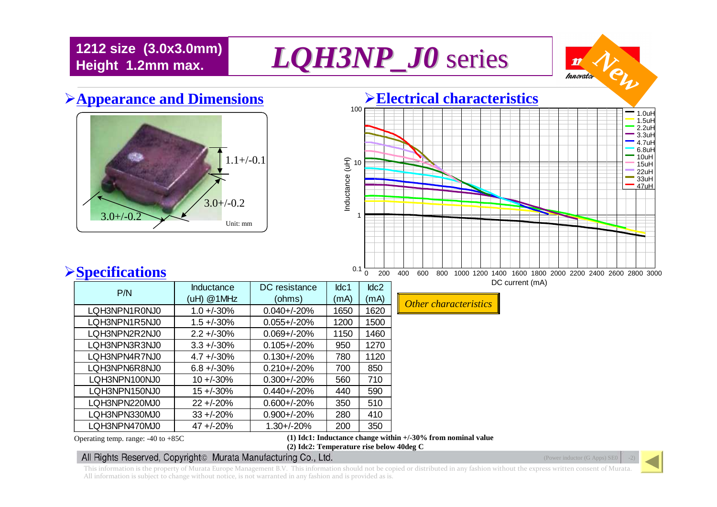# *LQH3NP\_J0* series



## **Appearance and Dimensions**



## **Electrical characteristics**



### **Specifications**

| P/N           | Inductance     | DC resistance    | Idc1 | Idc2 |                       |
|---------------|----------------|------------------|------|------|-----------------------|
|               | (uH) @1MHz     | (ohms)           | (mA) | (mA) | Other characteristics |
| LQH3NPN1R0NJ0 | $1.0 + -30%$   | $0.040 + -20%$   | 1650 | 1620 |                       |
| LQH3NPN1R5NJ0 | $1.5 + -30%$   | $0.055 + (-20%)$ | 1200 | 1500 |                       |
| LQH3NPN2R2NJ0 | $2.2 + -30%$   | $0.069 + / -20%$ | 1150 | 1460 |                       |
| LQH3NPN3R3NJ0 | $3.3 + -30\%$  | $0.105 + -20%$   | 950  | 1270 |                       |
| LQH3NPN4R7NJ0 | $4.7 + -30\%$  | $0.130 + (-20%)$ | 780  | 1120 |                       |
| LQH3NPN6R8NJ0 | $6.8 + -30\%$  | $0.210 + 20%$    | 700  | 850  |                       |
| LQH3NPN100NJ0 | $10 + (-30\%)$ | $0.300 + (-20%)$ | 560  | 710  |                       |
| LQH3NPN150NJ0 | $15 + (-30\%)$ | $0.440 + (-20%)$ | 440  | 590  |                       |
| LQH3NPN220MJ0 | $22 + 20%$     | $0.600 + -20%$   | 350  | 510  |                       |
| LQH3NPN330MJ0 | $33 + 20\%$    | $0.900 + (-20%)$ | 280  | 410  |                       |
| LQH3NPN470MJ0 | $47 + 20%$     | $1.30 + / -20%$  | 200  | 350  |                       |

Operating temp. range: -40 to +85C

 **(1) Idc1: Inductance change within +/-30% from nominal value (2) Idc2: Temperature rise below 40deg C**

#### All Rights Reserved, Copyright<sup>®</sup> Murata Manufacturing Co., Ltd.

(Power inductor  $(G$  Apps)  $SE0$ 

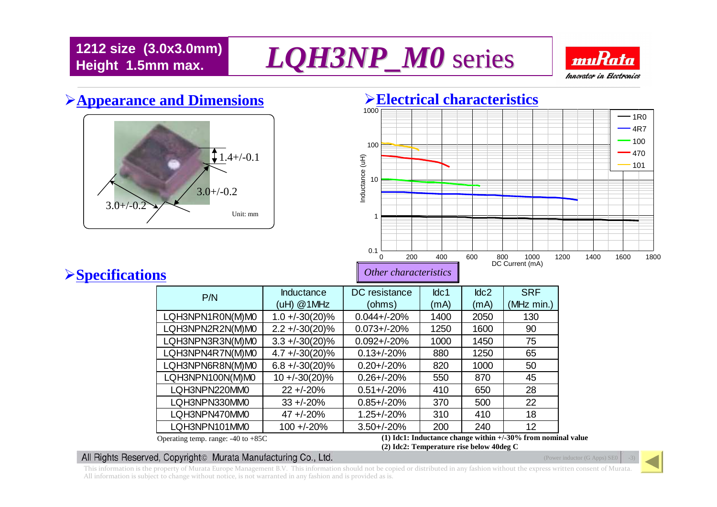# *LQH3NP\_M0* series



## **Appearance and Dimensions**



## **Electrical characteristics**



### **Specifications**

#### *Other characteristics*

| P/N              | Inductance         | DC resistance                                                                                                                                                                                                                                                                                                                                                                                                                                                                          | Idc <sub>1</sub> | Idc2     | <b>SRF</b>   |
|------------------|--------------------|----------------------------------------------------------------------------------------------------------------------------------------------------------------------------------------------------------------------------------------------------------------------------------------------------------------------------------------------------------------------------------------------------------------------------------------------------------------------------------------|------------------|----------|--------------|
|                  | (uH) @1MHz         | (ohms)                                                                                                                                                                                                                                                                                                                                                                                                                                                                                 | (mA)             | (mA)     | (MHz min.)   |
| LQH3NPN1R0N(M)M0 | $1.0 + (-30(20)\%$ | $0.044 + (-20%)$                                                                                                                                                                                                                                                                                                                                                                                                                                                                       | 1400             | 2050     | 130          |
| LQH3NPN2R2N(M)M0 | $2.2 + -30(20)%$   | $0.073 + / -20%$                                                                                                                                                                                                                                                                                                                                                                                                                                                                       | 1250             | 1600     | 90           |
| LQH3NPN3R3N(M)M0 | $3.3 + (-30(20)\%$ | $0.092 + / -20%$                                                                                                                                                                                                                                                                                                                                                                                                                                                                       | 1000             | 1450     | 75           |
| LQH3NPN4R7N(M)M0 | $4.7 + (-30(20)\%$ | $0.13 + (-20%)$                                                                                                                                                                                                                                                                                                                                                                                                                                                                        | 880              | 1250     | 65           |
| LQH3NPN6R8N(M)M0 | $6.8 + (-30(20)\%$ | $0.20 + / -20%$                                                                                                                                                                                                                                                                                                                                                                                                                                                                        | 820              | 1000     | 50           |
| LQH3NPN100N(M)M0 | $10 + (-30(20)\%$  | $0.26 + (-20%)$                                                                                                                                                                                                                                                                                                                                                                                                                                                                        | 550              | 870      | 45           |
| LQH3NPN220MM0    | $22 + -20%$        | $0.51 + (-20%)$                                                                                                                                                                                                                                                                                                                                                                                                                                                                        | 410              | 650      | 28           |
| LQH3NPN330MM0    | $33 + (-20\%)$     | $0.85 + (-20%)$                                                                                                                                                                                                                                                                                                                                                                                                                                                                        | 370              | 500      | 22           |
| LQH3NPN470MM0    | $47 + (-20\%$      | $1.25 + / -20%$                                                                                                                                                                                                                                                                                                                                                                                                                                                                        | 310              | 410      | 18           |
| LQH3NPN101MM0    | $100 + (-20\%$     | $3.50 + / -20%$                                                                                                                                                                                                                                                                                                                                                                                                                                                                        | 200              | 240      | 12           |
|                  |                    | $(4)$ $\blacksquare$ $\blacksquare$ $\blacksquare$ $\blacksquare$ $\blacksquare$ $\blacksquare$ $\blacksquare$ $\blacksquare$ $\blacksquare$ $\blacksquare$ $\blacksquare$ $\blacksquare$ $\blacksquare$ $\blacksquare$ $\blacksquare$ $\blacksquare$ $\blacksquare$ $\blacksquare$ $\blacksquare$ $\blacksquare$ $\blacksquare$ $\blacksquare$ $\blacksquare$ $\blacksquare$ $\blacksquare$ $\blacksquare$ $\blacksquare$ $\blacksquare$ $\blacksquare$ $\blacksquare$ $\blacksquare$ |                  | $\cdots$ | $\sqrt{200}$ |

Operating temp. range: -40 to +85C

**(1) Idc1: Inductance change within +/-30% from nominal value (2) Idc2: Temperature rise below 40deg C**

#### All Rights Reserved, Copyright<sup>®</sup> Murata Manufacturing Co., Ltd.

(Power inductor  $(G$  Apps)  $SE0$ 

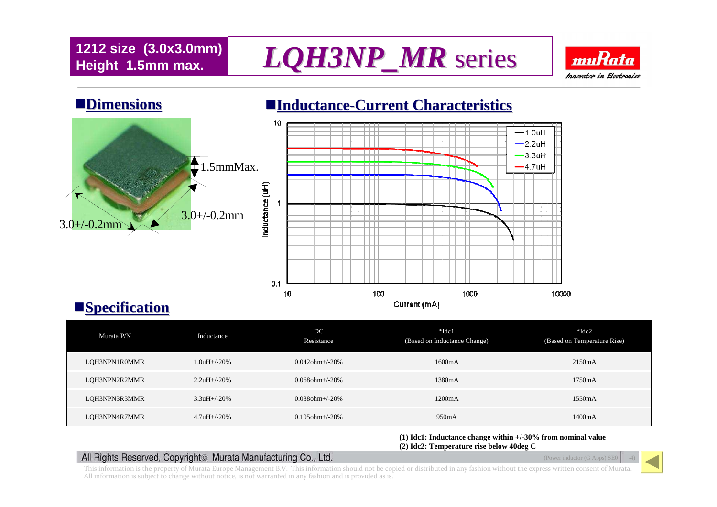# *LQH3NP\_MR* series





## -**Specification**

| Murata P/N    | Inductance    | DC<br>Resistance     | $*$ Idc $1$<br>(Based on Inductance Change) | $*$ Idc2<br>(Based on Temperature Rise) |
|---------------|---------------|----------------------|---------------------------------------------|-----------------------------------------|
| LOH3NPN1R0MMR | $1.0uH+/-20%$ | $0.042$ ohm $+/-20%$ | 1600mA                                      | 2150mA                                  |
| LOH3NPN2R2MMR | $2.2uH+/-20%$ | $0.068$ ohm $+/-20%$ | 1380mA                                      | 1750mA                                  |
| LQH3NPN3R3MMR | $3.3uH+/-20%$ | $0.088$ ohm $+/-20%$ | 1200mA                                      | 1550mA                                  |
| LOH3NPN4R7MMR | $4.7uH+/-20%$ | $0.105$ ohm $+/-20%$ | 950mA                                       | 1400mA                                  |

#### **(1) Idc1: Inductance change within +/-30% from nominal value (2) Idc2: Temperature rise below 40deg C**

#### All Rights Reserved, Copyright<sup>®</sup> Murata Manufacturing Co., Ltd.

(Power inductor (G Apps) SE0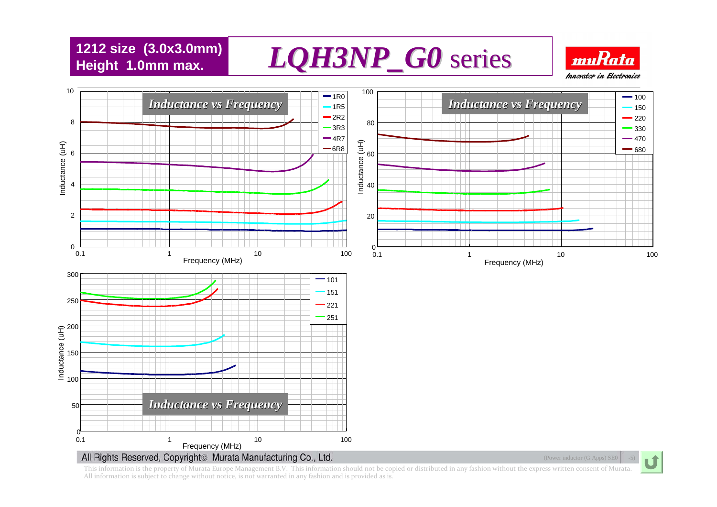## *LQH3NP\_G0* series



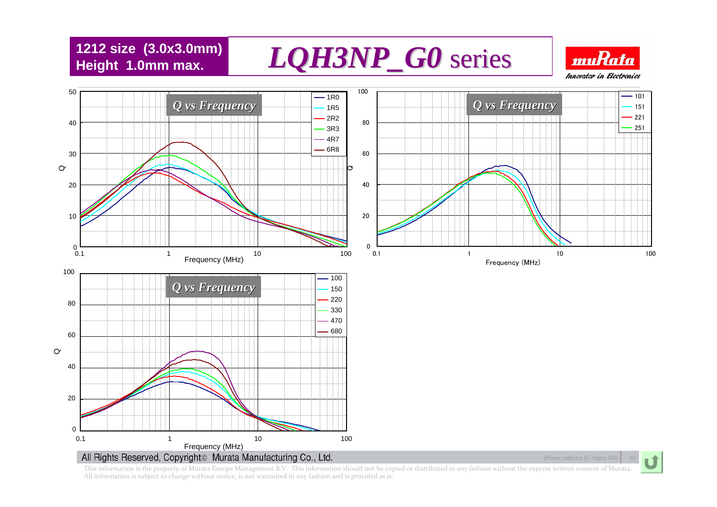# *LQH3NP\_G0* series



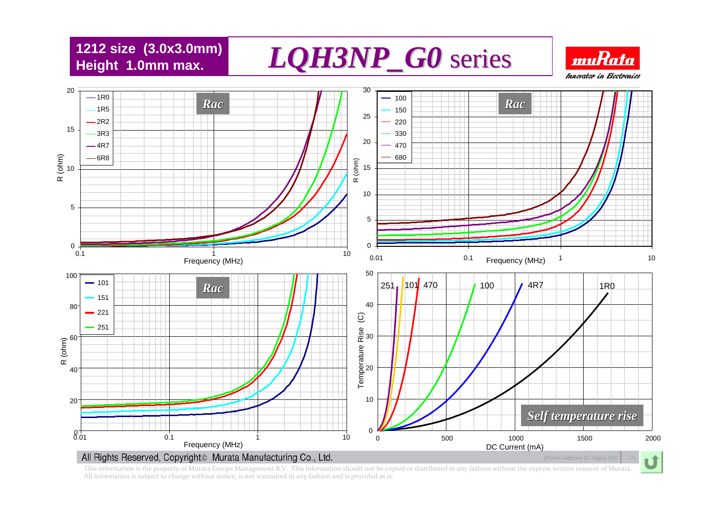## *LQH3NP\_G0* series



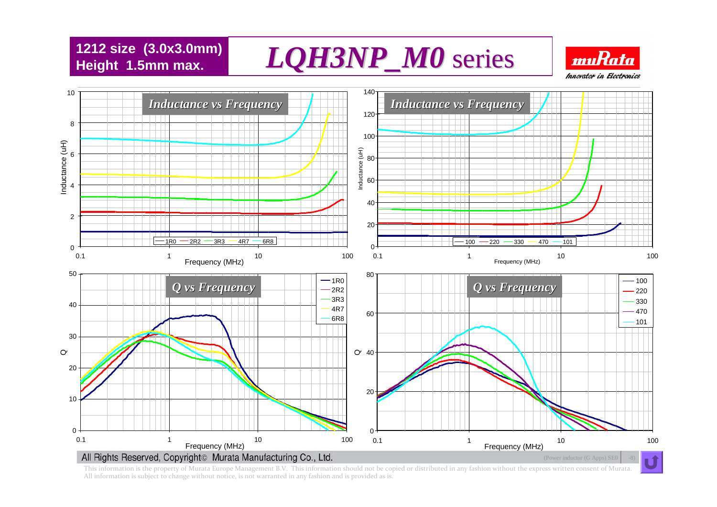## *LQH3NP\_M0* series



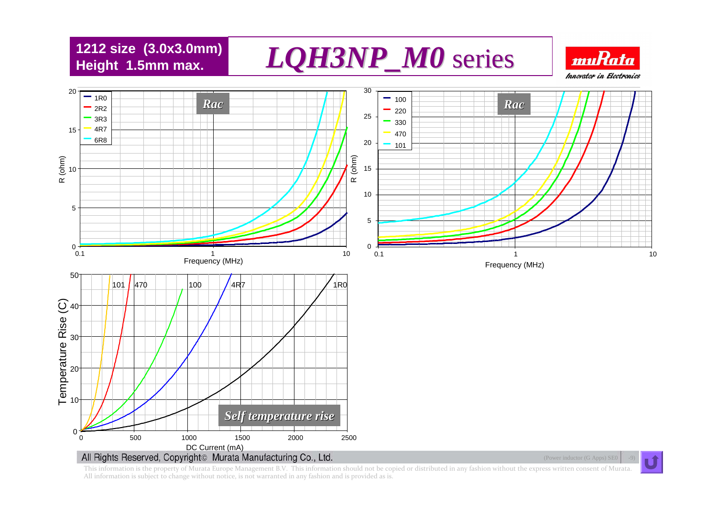## *LQH3NP\_M0* series



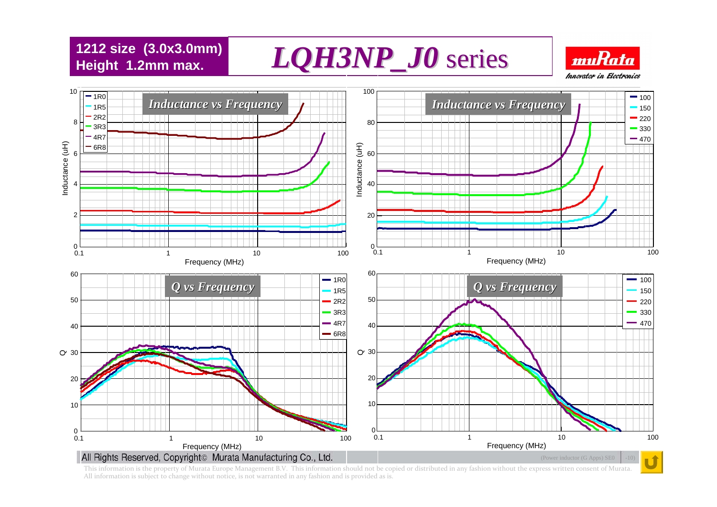# *LQH3NP\_J0* series